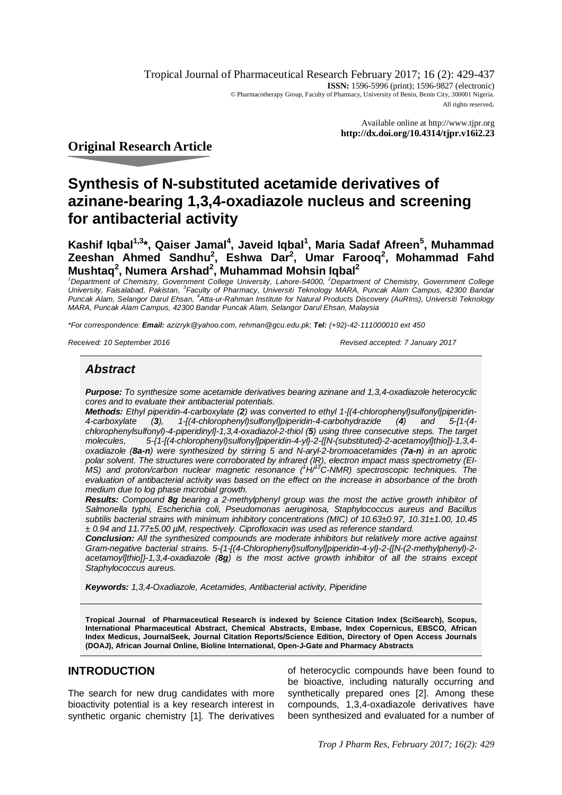Tropical Journal of Pharmaceutical Research February 2017; 16 (2): 429-437 **ISSN:** 1596-5996 (print); 1596-9827 (electronic) © Pharmacotherapy Group, Faculty of Pharmacy, University of Benin, Benin City, 300001 Nigeria. All rights reserved.

> Available online at <http://www.tjpr.org> **<http://dx.doi.org/10.4314/tjpr.v16i2.23>**

# **Original Research Article**

# **Synthesis of N-substituted acetamide derivatives of azinane-bearing 1,3,4-oxadiazole nucleus and screening for antibacterial activity**

**Kashif Iqbal1,3\*, Qaiser Jamal<sup>4</sup> , Javeid Iqbal<sup>1</sup> , Maria Sadaf Afreen<sup>5</sup> , Muhammad Zeeshan Ahmed Sandhu<sup>2</sup> , Eshwa Dar<sup>2</sup> , Umar Farooq<sup>2</sup> , Mohammad Fahd Mushtaq<sup>2</sup> , Numera Arshad<sup>2</sup> , Muhammad Mohsin Iqbal<sup>2</sup>**

<sup>1</sup>*Department of Chemistry, Government College University, Lahore-54000, <sup>2</sup>Department of Chemistry, Government College University, Faisalabad, Pakistan, <sup>3</sup> Faculty of Pharmacy, Universiti Teknology MARA, Puncak Alam Campus, 42300 Bandar Puncak Alam, Selangor Darul Ehsan, <sup>4</sup> Atta-ur-Rahman Institute for Natural Products Discovery (AuRIns), Universiti Teknology MARA, Puncak Alam Campus, 42300 Bandar Puncak Alam, Selangor Darul Ehsan, Malaysia*

*\*For correspondence: Email: azizryk@yahoo.com, [rehman@gcu.edu.pk;](mailto:rehman@gcu.edu.pk;) Tel: (+92)-42-111000010 ext 450*

*Received: 10 September 2016 Revised accepted: 7 January 2017*

# *Abstract*

*Purpose: To synthesize some acetamide derivatives bearing azinane and 1,3,4-oxadiazole heterocyclic cores and to evaluate their antibacterial potentials.*

*Methods: Ethyl piperidin-4-carboxylate (2) was converted to ethyl 1-[(4-chlorophenyl)sulfonyl]piperidin-4-carboxylate (3), 1-[(4-chlorophenyl)sulfonyl]piperidin-4-carbohydrazide (4) and 5-[1-(4 chlorophenylsulfonyl)-4-piperidinyl]-1,3,4-oxadiazol-2-thiol (5) using three consecutive steps. The target molecules, 5-{1-[(4-chlorophenyl)sulfonyl]piperidin-4-yl}-2-{[N-(substituted)-2-acetamoyl]thio]}-1,3,4 oxadiazole (8a-n) were synthesized by stirring 5 and N-aryl-2-bromoacetamides (7a-n) in an aprotic polar solvent. The structures were corroborated by infrared (IR), electron impact mass spectrometry (EI-MS) and proton/carbon nuclear magnetic resonance (<sup>1</sup>H/<sup>13</sup>C-NMR) spectroscopic techniques. The evaluation of antibacterial activity was based on the effect on the increase in absorbance of the broth medium due to log phase microbial growth.* 

*Results: Compound 8g bearing a 2-methylphenyl group was the most the active growth inhibitor of Salmonella typhi, Escherichia coli, Pseudomonas aeruginosa, Staphylococcus aureus and Bacillus subtilis bacterial strains with minimum inhibitory concentrations (MIC) of 10.63±0.97, 10.31±1.00, 10.45 ± 0.94 and 11.77±5.00 µM, respectively. Ciprofloxacin was used as reference standard.*

*Conclusion: All the synthesized compounds are moderate inhibitors but relatively more active against Gram-negative bacterial strains. 5-{1-[(4-Chlorophenyl)sulfonyl]piperidin-4-yl}-2-{[N-(2-methylphenyl)-2 acetamoyl]thio]}-1,3,4-oxadiazole (8g) is the most active growth inhibitor of all the strains except Staphylococcus aureus.*

*Keywords: 1,3,4-Oxadiazole, Acetamides, Antibacterial activity, Piperidine*

**Tropical Journal of Pharmaceutical Research is indexed by Science Citation Index (SciSearch), Scopus, International Pharmaceutical Abstract, Chemical Abstracts, Embase, Index Copernicus, EBSCO, African Index Medicus, JournalSeek, Journal Citation Reports/Science Edition, Directory of Open Access Journals (DOAJ), African Journal Online, Bioline International, Open-J-Gate and Pharmacy Abstracts**

# **INTRODUCTION**

The search for new drug candidates with more bioactivity potential is a key research interest in synthetic organic chemistry [1]. The derivatives

of heterocyclic compounds have been found to be bioactive, including naturally occurring and synthetically prepared ones [2]. Among these compounds, 1,3,4-oxadiazole derivatives have been synthesized and evaluated for a number of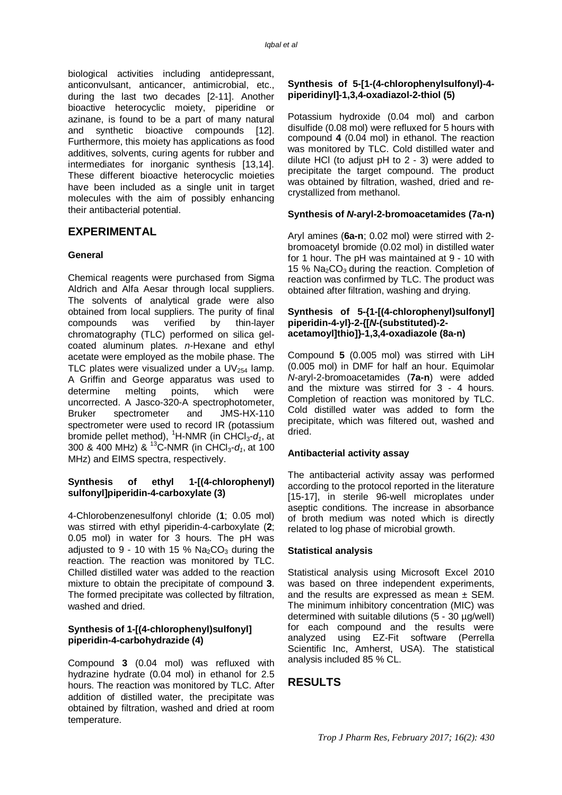biological activities including antidepressant, anticonvulsant, anticancer, antimicrobial, etc., during the last two decades [2-11]. Another bioactive heterocyclic moiety, piperidine or azinane, is found to be a part of many natural and synthetic bioactive compounds [12]. Furthermore, this moiety has applications as food additives, solvents, curing agents for rubber and intermediates for inorganic synthesis [13,14]. These different bioactive heterocyclic moieties have been included as a single unit in target molecules with the aim of possibly enhancing their antibacterial potential.

# **EXPERIMENTAL**

#### **General**

Chemical reagents were purchased from Sigma Aldrich and Alfa Aesar through local suppliers. The solvents of analytical grade were also obtained from local suppliers. The purity of final compounds was verified by thin-layer chromatography (TLC) performed on silica gelcoated aluminum plates. *n*-Hexane and ethyl acetate were employed as the mobile phase. The TLC plates were visualized under a  $UV_{254}$  lamp. A Griffin and George apparatus was used to determine melting points, which were uncorrected. A Jasco-320-A spectrophotometer, Bruker spectrometer and JMS-HX-110 spectrometer were used to record IR (potassium bromide pellet method), <sup>1</sup>H-NMR (in CHCl<sub>3</sub>- $d_1$ , at 300 & 400 MHz) & <sup>13</sup>C-NMR (in CHCl3-*d1*, at 100 MHz) and EIMS spectra, respectively.

#### **Synthesis of ethyl 1-[(4-chlorophenyl) sulfonyl]piperidin-4-carboxylate (3)**

4-Chlorobenzenesulfonyl chloride (**1**; 0.05 mol) was stirred with ethyl piperidin-4-carboxylate (**2**; 0.05 mol) in water for 3 hours. The pH was adjusted to 9 - 10 with 15 %  $Na<sub>2</sub>CO<sub>3</sub>$  during the reaction. The reaction was monitored by TLC. Chilled distilled water was added to the reaction mixture to obtain the precipitate of compound **3**. The formed precipitate was collected by filtration, washed and dried.

#### **Synthesis of 1-[(4-chlorophenyl)sulfonyl] piperidin-4-carbohydrazide (4)**

Compound **3** (0.04 mol) was refluxed with hydrazine hydrate (0.04 mol) in ethanol for 2.5 hours. The reaction was monitored by TLC. After addition of distilled water, the precipitate was obtained by filtration, washed and dried at room temperature.

#### **Synthesis of 5-[1-(4-chlorophenylsulfonyl)-4 piperidinyl]-1,3,4-oxadiazol-2-thiol (5)**

Potassium hydroxide (0.04 mol) and carbon disulfide (0.08 mol) were refluxed for 5 hours with compound **4** (0.04 mol) in ethanol. The reaction was monitored by TLC. Cold distilled water and dilute HCl (to adjust pH to 2 - 3) were added to precipitate the target compound. The product was obtained by filtration, washed, dried and recrystallized from methanol.

#### **Synthesis of** *N***-aryl-2-bromoacetamides (7a-n)**

Aryl amines (**6a-n**; 0.02 mol) were stirred with 2 bromoacetyl bromide (0.02 mol) in distilled water for 1 hour. The pH was maintained at 9 - 10 with 15 %  $Na<sub>2</sub>CO<sub>3</sub>$  during the reaction. Completion of reaction was confirmed by TLC. The product was obtained after filtration, washing and drying.

#### **Synthesis of 5-{1-[(4-chlorophenyl)sulfonyl] piperidin-4-yl}-2-{[***N***-(substituted)-2 acetamoyl]thio]}-1,3,4-oxadiazole (8a-n)**

Compound **5** (0.005 mol) was stirred with LiH (0.005 mol) in DMF for half an hour. Equimolar *N*-aryl-2-bromoacetamides (**7a-n**) were added and the mixture was stirred for 3 - 4 hours. Completion of reaction was monitored by TLC. Cold distilled water was added to form the precipitate, which was filtered out, washed and dried.

#### **Antibacterial activity assay**

The antibacterial activity assay was performed according to the protocol reported in the literature [15-17], in sterile 96-well microplates under aseptic conditions. The increase in absorbance of broth medium was noted which is directly related to log phase of microbial growth.

#### **Statistical analysis**

Statistical analysis using Microsoft Excel 2010 was based on three independent experiments, and the results are expressed as mean  $\pm$  SEM. The minimum inhibitory concentration (MIC) was determined with suitable dilutions (5 - 30 µg/well) for each compound and the results were analyzed using EZ-Fit software (Perrella Scientific Inc, Amherst, USA). The statistical analysis included 85 % CL.

# **RESULTS**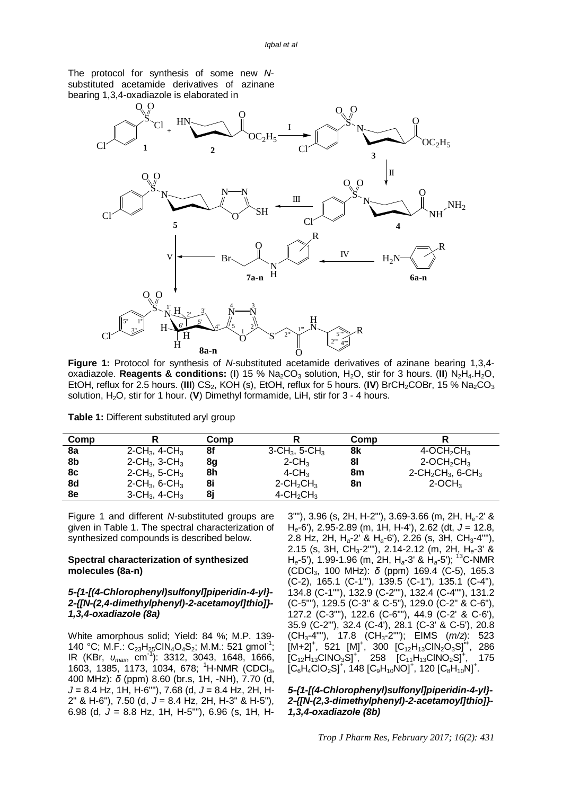The protocol for synthesis of some new *N*substituted acetamide derivatives of azinane bearing 1,3,4-oxadiazole is elaborated in



**Figure 1:** Protocol for synthesis of *N*-substituted acetamide derivatives of azinane bearing 1,3,4 oxadiazole. **Reagents & conditions:** (**I**) 15 % Na<sub>2</sub>CO<sub>3</sub> solution, H<sub>2</sub>O, stir for 3 hours. (**II**) N<sub>2</sub>H<sub>4</sub>.H<sub>2</sub>O, EtOH, reflux for 2.5 hours. (III) CS<sub>2</sub>, KOH (s), EtOH, reflux for 5 hours. (IV) BrCH<sub>2</sub>COBr, 15 % Na<sub>2</sub>CO<sub>3</sub> solution, H2O, stir for 1 hour. (**V**) Dimethyl formamide, LiH, stir for 3 - 4 hours.

|  |  | Table 1: Different substituted aryl group |  |  |  |
|--|--|-------------------------------------------|--|--|--|
|--|--|-------------------------------------------|--|--|--|

| Comp |                                          | Comp |                                          | Comp |                                                          |
|------|------------------------------------------|------|------------------------------------------|------|----------------------------------------------------------|
| 8a   | 2-CH <sub>3</sub> , 4-CH <sub>3</sub>    | 8f   | $3$ -CH <sub>3</sub> , 5-CH <sub>3</sub> | 8k   | $4$ -OCH <sub>2</sub> CH <sub>3</sub>                    |
| 8b   | 2-CH <sub>3</sub> , 3-CH <sub>3</sub>    | 8g   | $2$ -CH <sub>3</sub>                     | 81   | $2$ -OCH <sub>2</sub> CH <sub>3</sub>                    |
| 8c   | 2-CH <sub>3</sub> , 5-CH <sub>3</sub>    | 8h   | $4$ -CH <sub>3</sub>                     | 8m   | $2$ -CH <sub>2</sub> CH <sub>3</sub> , 6-CH <sub>3</sub> |
| 8d   | 2-CH <sub>3</sub> , 6-CH <sub>3</sub>    | 8i   | $2$ -CH <sub>2</sub> CH <sub>3</sub>     | 8n   | $2$ -OCH <sub>3</sub>                                    |
| 8e   | $3$ -CH <sub>3</sub> , 4-CH <sub>3</sub> |      | $4$ -CH <sub>2</sub> CH <sub>3</sub>     |      |                                                          |

Figure 1 and different *N*-substituted groups are given in Table 1. The spectral characterization of synthesized compounds is described below.

#### **Spectral characterization of synthesized molecules (8a-n)**

#### *5-{1-[(4-Chlorophenyl)sulfonyl]piperidin-4-yl}- 2-{[N-(2,4-dimethylphenyl)-2-acetamoyl]thio]}- 1,3,4-oxadiazole (8a)*

White amorphous solid; Yield: 84 %; M.P. 139- 140 °C; M.F.: C<sub>23</sub>H<sub>25</sub>CIN<sub>4</sub>O<sub>4</sub>S<sub>2</sub>; M.M.: 521 gmol<sup>-1</sup>; IR (KBr, *υmax*, cm-1 ): 3312, 3043, 1648, 1666, 1603, 1385, 1173, 1034, 678; <sup>1</sup>H-NMR (CDCl<sub>3</sub>, 400 MHz): *δ* (ppm) 8.60 (br.s, 1H, -NH), 7.70 (d, *J* = 8.4 Hz, 1H, H-6""), 7.68 (d, *J* = 8.4 Hz, 2H, H-2" & H-6"), 7.50 (d, *J* = 8.4 Hz, 2H, H-3" & H-5"), 6.98 (d, *J* = 8.8 Hz, 1H, H-5""), 6.96 (s, 1H, H-

3""), 3.96 (s, 2H, H-2"'), 3.69-3.66 (m, 2H, H*e*-2' & H*e*-6'), 2.95-2.89 (m, 1H, H-4'), 2.62 (dt, *J* = 12.8, 2.8 Hz, 2H, H*a*-2' & H*a*-6'), 2.26 (s, 3H, CH3-4""), 2.15 (s, 3H, CH3-2""), 2.14-2.12 (m, 2H, H*e*-3' & H*e*-5'), 1.99-1.96 (m, 2H, H*a*-3' & H*a*-5'); <sup>13</sup>C-NMR (CDCl3, 100 MHz): *δ* (ppm) 169.4 (C-5), 165.3 (C-2), 165.1 (C-1"'), 139.5 (C-1"), 135.1 (C-4"), 134.8 (C-1""), 132.9 (C-2""), 132.4 (C-4""), 131.2 (C-5""), 129.5 (C-3" & C-5"), 129.0 (C-2" & C-6"), 127.2 (C-3""), 122.6 (C-6""), 44.9 (C-2' & C-6'), 35.9 (C-2"'), 32.4 (C-4'), 28.1 (C-3' & C-5'), 20.8 (CH3-4""), 17.8 (CH3-2""); EIMS (*m/z*): 523  $[M+2]^+$ , 521  $[M]^+$ , 300  $[C_{12}H_{13}CIN_2O_3S]^{4+}$ , 286  $[C_{12}H_{13}CINO_3S]^+$ , 258  $[C_{11}H_{13}CINO_2S]^+$ , 175  $[C_6H_4ClO_2S]^+$ , 148  $[C_9H_{10}NO]^+$ , 120  $[C_8H_{10}N]^+$ .

#### *5-{1-[(4-Chlorophenyl)sulfonyl]piperidin-4-yl}- 2-{[N-(2,3-dimethylphenyl)-2-acetamoyl]thio]}- 1,3,4-oxadiazole (8b)*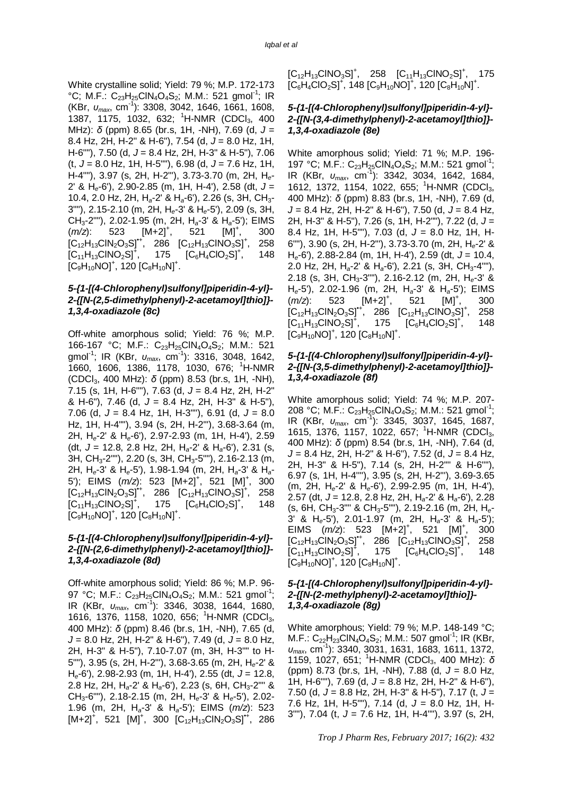White crystalline solid; Yield: 79 %; M.P. 172-173 °C; M.F.: C<sub>23</sub>H<sub>25</sub>CIN<sub>4</sub>O<sub>4</sub>S<sub>2</sub>; M.M.: 521 gmol<sup>-1</sup>; IR (KBr, *υmax*, cm-1 ): 3308, 3042, 1646, 1661, 1608, 1387, 1175, 1032, 632; <sup>1</sup>H-NMR (CDCl<sub>3</sub>, 400 MHz): *δ* (ppm) 8.65 (br.s, 1H, -NH), 7.69 (d, *J* = 8.4 Hz, 2H, H-2" & H-6"), 7.54 (d, *J* = 8.0 Hz, 1H, H-6""), 7.50 (d, *J* = 8.4 Hz, 2H, H-3" & H-5"), 7.06 (t, *J* = 8.0 Hz, 1H, H-5""), 6.98 (d, *J* = 7.6 Hz, 1H, H-4""), 3.97 (s, 2H, H-2"'), 3.73-3.70 (m, 2H, H*e*-2' & H*e*-6'), 2.90-2.85 (m, 1H, H-4'), 2.58 (dt, *J* = 10.4, 2.0 Hz, 2H, H*a*-2' & H*a*-6'), 2.26 (s, 3H, CH3- 3""), 2.15-2.10 (m, 2H, H*e*-3' & H*e*-5'), 2.09 (s, 3H, CH3-2""), 2.02-1.95 (m, 2H, H*a*-3' & H*a*-5'); EIMS (*m*/z): 523 [M+2]<sup>+</sup>, 521  $[M]^{+}$ , , 300  $[C_{12}H_{13}CIN_2O_3S]^{4}$ , 286  $[C_{12}H_{13}CINO_3S]^{4}$ , , 258  $[C_{11}H_{13}CINO_2S]^{+}$ , 175  $[C_6H_4ClO_2S]^+$ , , 148  $[C_9H_{10}NO]^+$ , 120  $[C_8H_{10}N]^+$ .

#### *5-{1-[(4-Chlorophenyl)sulfonyl]piperidin-4-yl}- 2-{[N-(2,5-dimethylphenyl)-2-acetamoyl]thio]}- 1,3,4-oxadiazole (8c)*

Off-white amorphous solid; Yield: 76 %; M.P. 166-167 °C; M.F.: C<sub>23</sub>H<sub>25</sub>ClN<sub>4</sub>O<sub>4</sub>S<sub>2</sub>; M.M.: 521 gmol-1 ; IR (KBr, *υmax*, cm-1 ): 3316, 3048, 1642, 1660, 1606, 1386, 1178, 1030, 676; <sup>1</sup>H-NMR (CDCl3, 400 MHz): *δ* (ppm) 8.53 (br.s, 1H, -NH), 7.15 (s, 1H, H-6""), 7.63 (d, *J* = 8.4 Hz, 2H, H-2" & H-6"), 7.46 (d, *J* = 8.4 Hz, 2H, H-3" & H-5"), 7.06 (d, *J* = 8.4 Hz, 1H, H-3""), 6.91 (d, *J* = 8.0 Hz, 1H, H-4""), 3.94 (s, 2H, H-2"'), 3.68-3.64 (m, 2H, H*e*-2' & H*e*-6'), 2.97-2.93 (m, 1H, H-4'), 2.59 (dt, *J* = 12.8, 2.8 Hz, 2H, H*a*-2' & H*a*-6'), 2.31 (s, 3H, CH3-2""), 2.20 (s, 3H, CH3-5""), 2.16-2.13 (m, 2H, H*e*-3' & H*e*-5'), 1.98-1.94 (m, 2H, H*a*-3' & H*a*-5'); EIMS (*m/z*): 523 [M+2]<sup>+</sup>, 521 [M]<sup>+</sup>, 300  $[C_{12}H_{13}CIN_2O_3S]^{4}$ , 286  $[C_{12}H_{13}CINO_3S]^{+}$ , , 258  $[C_{11}H_{13}CINO_{2}S]^{+}$ 175  $[C_6H_4ClO_2S]^+$ , , 148  $[C_9H_{10}NO]^+$ , 120  $[C_8H_{10}N]^+$ .

#### *5-{1-[(4-Chlorophenyl)sulfonyl]piperidin-4-yl}- 2-{[N-(2,6-dimethylphenyl)-2-acetamoyl]thio]}- 1,3,4-oxadiazole (8d)*

Off-white amorphous solid; Yield: 86 %; M.P. 96- 97 °C; M.F.: C<sub>23</sub>H<sub>25</sub>CIN<sub>4</sub>O<sub>4</sub>S<sub>2</sub>; M.M.: 521 gmol<sup>-1</sup>; IR (KBr, *υmax*, cm-1 ): 3346, 3038, 1644, 1680, 1616, 1376, 1158, 1020, 656; <sup>1</sup>H-NMR (CDCl<sub>3</sub>, 400 MHz): *δ* (ppm) 8.46 (br.s, 1H, -NH), 7.65 (d, *J* = 8.0 Hz, 2H, H-2" & H-6"), 7.49 (d, *J* = 8.0 Hz, 2H, H-3" & H-5"), 7.10-7.07 (m, 3H, H-3"" to H-5""), 3.95 (s, 2H, H-2"'), 3.68-3.65 (m, 2H, H*e*-2' & H*e*-6'), 2.98-2.93 (m, 1H, H-4'), 2.55 (dt, *J* = 12.8, 2.8 Hz, 2H, H*a*-2' & H*a*-6'), 2.23 (s, 6H, CH3-2"" & CH3-6""), 2.18-2.15 (m, 2H, H*e*-3' & H*e*-5'), 2.02- 1.96 (m, 2H, H*a*-3' & H*a*-5'); EIMS (*m/z*): 523  $[M+2]^+$ , 521  $[M]^+$ , 300  $[C_{12}H_{13}CIN_2O_3S]^+$ , 286  $[C_{12}H_{13}CINO_3S]^+$ , 258  $[C_{11}H_{13}CINO_2S]^+$ , 175  $[C_6H_4ClO_2S]^+$ , 148  $[C_9H_{10}NO]^+$ , 120  $[C_8H_{10}N]^+$ .

#### *5-{1-[(4-Chlorophenyl)sulfonyl]piperidin-4-yl}- 2-{[N-(3,4-dimethylphenyl)-2-acetamoyl]thio]}- 1,3,4-oxadiazole (8e)*

White amorphous solid; Yield: 71 %; M.P. 196- 197 °C; M.F.: C<sub>23</sub>H<sub>25</sub>CIN<sub>4</sub>O<sub>4</sub>S<sub>2</sub>; M.M.: 521 gmol<sup>-1</sup>; IR (KBr, *υmax*, cm-1 ): 3342, 3034, 1642, 1684, 1612, 1372, 1154, 1022, 655; <sup>1</sup>H-NMR (CDCl<sub>3</sub>, 400 MHz): *δ* (ppm) 8.83 (br.s, 1H, -NH), 7.69 (d, *J* = 8.4 Hz, 2H, H-2" & H-6"), 7.50 (d, *J* = 8.4 Hz, 2H, H-3" & H-5"), 7.26 (s, 1H, H-2""), 7.22 (d, *J* = 8.4 Hz, 1H, H-5""), 7.03 (d, *J* = 8.0 Hz, 1H, H-6""), 3.90 (s, 2H, H-2"'), 3.73-3.70 (m, 2H, H*e*-2' & H*e*-6'), 2.88-2.84 (m, 1H, H-4'), 2.59 (dt, *J* = 10.4, 2.0 Hz, 2H, H*a*-2' & H*a*-6'), 2.21 (s, 3H, CH3-4""), 2.18 (s, 3H, CH3-3""), 2.16-2.12 (m, 2H, H*e*-3' & H*e*-5'), 2.02-1.96 (m, 2H, H*a*-3' & H*a*-5'); EIMS (*m/z*): 523 [M+2]<sup>+</sup>,<br>[C<sub>12</sub>H<sub>13</sub>CIN<sub>2</sub>O<sub>3</sub>S]<sup>++</sup>, 286 521  $[M]^+,$  [C<sub>12</sub>H<sub>13</sub>CINO<sub>3</sub>S]<sup>+</sup>, , 300  $[C_{12}H_{13}CIN_2O_3S]^{4}$ , 258  $[C_{11}H_{13}CINO_2S]^+$ , 175  $[C_6H_4ClO_2S]^+$ , , 148  $[C_9H_{10}NO]^+$ , 120  $[C_8H_{10}N]^+$ .

#### *5-{1-[(4-Chlorophenyl)sulfonyl]piperidin-4-yl}- 2-{[N-(3,5-dimethylphenyl)-2-acetamoyl]thio]}- 1,3,4-oxadiazole (8f)*

White amorphous solid; Yield: 74 %; M.P. 207- 208 °C; M.F.: C<sub>23</sub>H<sub>25</sub>CIN<sub>4</sub>O<sub>4</sub>S<sub>2</sub>; M.M.: 521 gmol<sup>-1</sup>; IR (KBr, *υmax*, cm-1 ): 3345, 3037, 1645, 1687, 1615, 1376, 1157, 1022, 657; <sup>1</sup>H-NMR (CDCl<sub>3</sub>, 400 MHz): *δ* (ppm) 8.54 (br.s, 1H, -NH), 7.64 (d, *J* = 8.4 Hz, 2H, H-2" & H-6"), 7.52 (d, *J* = 8.4 Hz, 2H, H-3" & H-5"), 7.14 (s, 2H, H-2"" & H-6""), 6.97 (s, 1H, H-4''''), 3.95 (s, 2H, H-2"'), 3.69-3.65 (m, 2H, H*e*-2' & H*e*-6'), 2.99-2.95 (m, 1H, H-4'), 2.57 (dt, *J* = 12.8, 2.8 Hz, 2H, H*a*-2' & H*a*-6'), 2.28 (s, 6H, CH3-3"" & CH3-5""), 2.19-2.16 (m, 2H, H*e*-3' & H*e*-5'), 2.01-1.97 (m, 2H, H*a*-3' & H*a*-5'); EIMS  $(m/z)$ : 523  $[M+2]$ <sup>+</sup>, 521  $[M]$ <sup>+</sup> , 300  $[C_{12}H_{13}CIN_2O_3S]^{4}$ , 286  $[C_{12}H_{13}CINO_3S]^{4}$ , , 258  $[C_{11}H_{13}CINO_2S]^+,$ 175  $[C_6H_4ClO_2S]^+$ , , 148  $[C_9H_{10}NO]^+$ , 120  $[C_8H_{10}N]^+$ .

#### *5-{1-[(4-Chlorophenyl)sulfonyl]piperidin-4-yl}- 2-{[N-(2-methylphenyl)-2-acetamoyl]thio]}- 1,3,4-oxadiazole (8g)*

White amorphous; Yield: 79 %; M.P. 148-149 °C;  $M.F.: C_{22}H_{23}CIN_4O_4S_2$ ; M.M.: 507 gmol<sup>-1</sup>; IR (KBr, *υmax*, cm-1 ): 3340, 3031, 1631, 1683, 1611, 1372, 1159, 1027, 651; <sup>1</sup>H-NMR (CDCl3, 400 MHz): *δ* (ppm) 8.73 (br.s, 1H, -NH), 7.88 (d, *J* = 8.0 Hz, 1H, H-6""), 7.69 (d, *J* = 8.8 Hz, 2H, H-2" & H-6"), 7.50 (d, *J* = 8.8 Hz, 2H, H-3" & H-5"), 7.17 (t, *J* = 7.6 Hz, 1H, H-5""), 7.14 (d, *J* = 8.0 Hz, 1H, H-3""), 7.04 (t, *J* = 7.6 Hz, 1H, H-4""), 3.97 (s, 2H,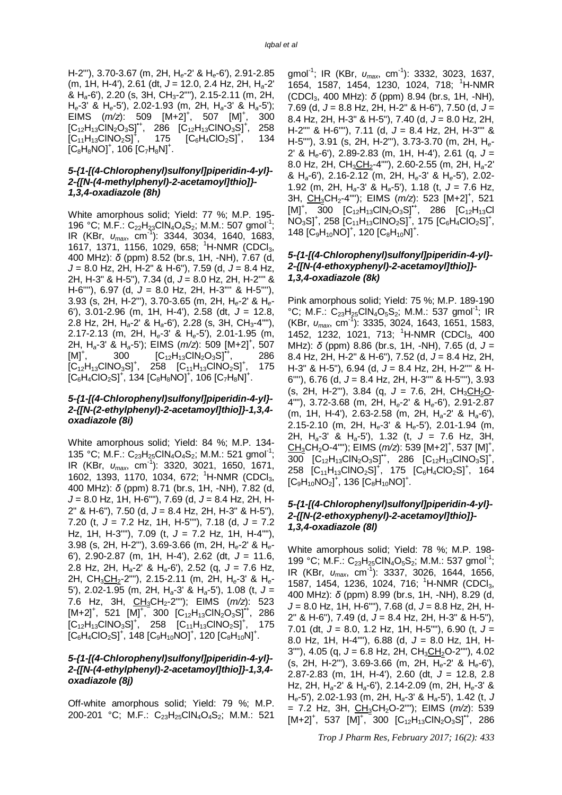H-2"'), 3.70-3.67 (m, 2H, H*e*-2' & H*e*-6'), 2.91-2.85 (m, 1H, H-4'), 2.61 (dt, *J* = 12.0, 2.4 Hz, 2H, H*a*-2' & H*a*-6'), 2.20 (s, 3H, CH3-2""), 2.15-2.11 (m, 2H, H*e*-3' & H*e*-5'), 2.02-1.93 (m, 2H, H*a*-3' & H*a*-5'); EIMS  $(m/z)$ : 509  $[M+2]^+$ , 507  $[M]^+$ , 300  $[C_{12}H_{13}CIN_2O_3S]^{4}$ , 286  $[C_{12}H_{13}CINO_3S]^{4}$ , , 258  $[C_{11}H_{13}CINO_2S]^+$ , 175  $[C_6H_4ClO_2S]^+$ , , 134  $[C_8H_8NO]^+, 106 [C_7H_8N]^+.$ 

#### *5-{1-[(4-Chlorophenyl)sulfonyl]piperidin-4-yl}- 2-{[N-(4-methylphenyl)-2-acetamoyl]thio]}- 1,3,4-oxadiazole (8h)*

White amorphous solid; Yield: 77 %; M.P. 195- 196 °C; M.F.: C<sub>22</sub>H<sub>23</sub>CIN<sub>4</sub>O<sub>4</sub>S<sub>2</sub>; M.M.: 507 gmol<sup>-1</sup>; IR (KBr, *υmax*, cm-1 ): 3344, 3034, 1640, 1683, 1617, 1371, 1156, 1029, 658; <sup>1</sup>H-NMR (CDCl<sub>3</sub>, 400 MHz): *δ* (ppm) 8.52 (br.s, 1H, -NH), 7.67 (d, *J* = 8.0 Hz, 2H, H-2" & H-6"), 7.59 (d, *J* = 8.4 Hz, 2H, H-3" & H-5"), 7.34 (d, *J* = 8.0 Hz, 2H, H-2'''' & H-6""), 6.97 (d,  $J = 8.0$  Hz, 2H, H-3"" & H-5" 3.93 (s, 2H, H-2"'), 3.70-3.65 (m, 2H, H*e*-2' & H*e*-6'), 3.01-2.96 (m, 1H, H-4'), 2.58 (dt, *J* = 12.8, 2.8 Hz, 2H, H*a*-2' & H*a*-6'), 2.28 (s, 3H, CH3-4""), 2.17-2.13 (m, 2H, H*e*-3' & H*e*-5'), 2.01-1.95 (m, 2H, H*a*-3' & H*a*-5'); EIMS (*m/z*): 509 [M+2]<sup>+</sup> , 507  $[M]^{+}$ , 300  $[C_{12}H_{13}CIN_2O_3S]^{4}$ , 286  $[C_{12}H_{13}CINO_3S]^+$ , 258  $[C_{11}H_{13}CINO_2S]^+$ , , 175  $[C_6H_4CO_2S]^+$ , 134  $[C_8H_8NO]^+$ , 106  $[C_7H_8N]^+$ .

#### *5-{1-[(4-Chlorophenyl)sulfonyl]piperidin-4-yl}- 2-{[N-(2-ethylphenyl)-2-acetamoyl]thio]}-1,3,4 oxadiazole (8i)*

White amorphous solid; Yield: 84 %; M.P. 134- 135 °C; M.F.: C<sub>23</sub>H<sub>25</sub>CIN<sub>4</sub>O<sub>4</sub>S<sub>2</sub>; M.M.: 521 gmol<sup>-1</sup>; IR (KBr, *υmax*, cm-1 ): 3320, 3021, 1650, 1671, 1602, 1393, 1170, 1034, 672; <sup>1</sup>H-NMR (CDCl<sub>3</sub>, 400 MHz): *δ* (ppm) 8.71 (br.s, 1H, -NH), 7.82 (d, *J* = 8.0 Hz, 1H, H-6""), 7.69 (d, *J* = 8.4 Hz, 2H, H-2" & H-6"), 7.50 (d, *J* = 8.4 Hz, 2H, H-3" & H-5"), 7.20 (t, *J* = 7.2 Hz, 1H, H-5""), 7.18 (d, *J* = 7.2 Hz, 1H, H-3""), 7.09 (t, *J* = 7.2 Hz, 1H, H-4""), 3.98 (s, 2H, H-2"'), 3.69-3.66 (m, 2H, H*e*-2' & H*e*-6'), 2.90-2.87 (m, 1H, H-4'), 2.62 (dt, *J* = 11.6, 2.8 Hz, 2H, H*a*-2' & H*a*-6'), 2.52 (q, *J* = 7.6 Hz, 2H, CH3CH2-2""), 2.15-2.11 (m, 2H, H*e*-3' & H*e*-5'), 2.02-1.95 (m, 2H, H*a*-3' & H*a*-5'), 1.08 (t, *J* = 7.6 Hz, 3H, CH<sub>3</sub>CH<sub>2</sub>-2""); EIMS (m/z): 523  $[M+2]^+$ , 521  $[M]^+$ , 300  $[C_{12}H_{13}CIN_2O_3S]^+$ , 286  $[C_{12}H_{13}CINO_3S]^+$ , 258  $[C_{11}H_{13}CINO_2S]^+$ , 175  $[C_6H_4ClO_2S]^+$ , 148  $[C_9H_{10}NO]^+$ , 120  $[C_8H_{10}N]^+$ .

#### *5-{1-[(4-Chlorophenyl)sulfonyl]piperidin-4-yl}- 2-{[N-(4-ethylphenyl)-2-acetamoyl]thio]}-1,3,4 oxadiazole (8j)*

Off-white amorphous solid; Yield: 79 %; M.P. 200-201 °C; M.F.: C<sub>23</sub>H<sub>25</sub>ClN<sub>4</sub>O<sub>4</sub>S<sub>2</sub>; M.M.: 521

gmol-1 ; IR (KBr, *υmax*, cm-1 ): 3332, 3023, 1637, 1654, 1587, 1454, 1230, 1024, 718; <sup>1</sup>H-NMR (CDCl3, 400 MHz): *δ* (ppm) 8.94 (br.s, 1H, -NH), 7.69 (d, *J* = 8.8 Hz, 2H, H-2" & H-6"), 7.50 (d, *J* = 8.4 Hz, 2H, H-3" & H-5"), 7.40 (d, *J* = 8.0 Hz, 2H, H-2"" & H-6""), 7.11 (d, *J* = 8.4 Hz, 2H, H-3"" & H-5""), 3.91 (s, 2H, H-2"'), 3.73-3.70 (m, 2H, H*e*-2' & H*e*-6'), 2.89-2.83 (m, 1H, H-4'), 2.61 (q, *J* = 8.0 Hz, 2H, CH<sub>3</sub>CH<sub>2</sub>-4""), 2.60-2.55 (m, 2H, H<sub>a</sub>-2' & H*a*-6'), 2.16-2.12 (m, 2H, H*e*-3' & H*e*-5'), 2.02- 1.92 (m, 2H, H*a*-3' & H*a*-5'), 1.18 (t, *J* = 7.6 Hz, 3H, CH<sub>3</sub>CH<sub>2</sub>-4""); EIMS (*m/z*): 523 [M+2]<sup>+</sup>, 521  $[M]^+$ , 300  $[C_{12}H_{13}CIN_2O_3S]^+$ , 286  $[C_{12}H_{13}CIN_2O_3S]^+$  $NO<sub>3</sub>SJ<sup>+</sup>$ , 258  $[C<sub>11</sub>H<sub>13</sub>ClNO<sub>2</sub>SJ<sup>+</sup>$ , 175  $[C<sub>6</sub>H<sub>4</sub>ClO<sub>2</sub>SJ<sup>+</sup>$ , 148  $[C_9H_{10}NO]^+$ , 120  $[C_8H_{10}N]^+$ .

#### *5-{1-[(4-Chlorophenyl)sulfonyl]piperidin-4-yl}- 2-{[N-(4-ethoxyphenyl)-2-acetamoyl]thio]}- 1,3,4-oxadiazole (8k)*

Pink amorphous solid; Yield: 75 %; M.P. 189-190 °C; M.F.:  $C_{23}H_{25}CIN_4O_5S_2$ ; M.M.: 537 gmol<sup>-1</sup>; IR (KBr, *υmax*, cm-1 ): 3335, 3024, 1643, 1651, 1583, 1452, 1232, 1021, 713; <sup>1</sup>H-NMR (CDCl<sub>3</sub>, 400 MHz): *δ* (ppm) 8.86 (br.s, 1H, -NH), 7.65 (d, *J* = 8.4 Hz, 2H, H-2" & H-6"), 7.52 (d, *J* = 8.4 Hz, 2H, H-3" & H-5"), 6.94 (d, *J* = 8.4 Hz, 2H, H-2'''' & H-6''''), 6.76 (d, *J* = 8.4 Hz, 2H, H-3'''' & H-5''''), 3.93  $(s, 2H, H-2'')$ , 3.84  $(q, J = 7.6, 2H, CH_3CH_2O-$ 4""), 3.72-3.68 (m, 2H, H*e*-2' & H*e*-6'), 2.91-2.87 (m, 1H, H-4'), 2.63-2.58 (m, 2H, H*a*-2' & H*a*-6'), 2.15-2.10 (m, 2H, H*e*-3' & H*e*-5'), 2.01-1.94 (m, 2H, H*a*-3' & H*a*-5'), 1.32 (t, *J* = 7.6 Hz, 3H, CH<sub>3</sub>CH<sub>2</sub>O-4""); EIMS (*m/z*): 539 [M+2]<sup>+</sup>, 537 [M]<sup>+</sup>, 300  $[C_{12}H_{13}CIN_2O_3S]^{+1}$ , 286  $[C_{12}H_{13}CINO_3S]^{+}$ , 258  $[C_{11}H_{13}CINO_2S]^+$ , 175  $[C_6H_4ClO_2S]^+$ , 164  $[C_9H_{10}NO_2]^+$ , 136  $[C_8H_{10}NO]^+$ .

#### *5-{1-[(4-Chlorophenyl)sulfonyl]piperidin-4-yl}- 2-{[N-(2-ethoxyphenyl)-2-acetamoyl]thio]}- 1,3,4-oxadiazole (8l)*

White amorphous solid; Yield: 78 %; M.P. 198- 199 °C; M.F.: C<sub>23</sub>H<sub>25</sub>CIN<sub>4</sub>O<sub>5</sub>S<sub>2</sub>; M.M.: 537 gmol<sup>-1</sup>; IR (KBr, *υmax*, cm-1 ): 3337, 3026, 1644, 1656, 1587, 1454, 1236, 1024, 716; <sup>1</sup>H-NMR (CDCl<sub>3</sub>, 400 MHz): *δ* (ppm) 8.99 (br.s, 1H, -NH), 8.29 (d, *J* = 8.0 Hz, 1H, H-6""), 7.68 (d, *J* = 8.8 Hz, 2H, H-2" & H-6"), 7.49 (d, *J* = 8.4 Hz, 2H, H-3" & H-5"), 7.01 (dt, *J* = 8.0, 1.2 Hz, 1H, H-5""), 6.90 (t, *J* = 8.0 Hz, 1H, H-4""), 6.88 (d, *J* = 8.0 Hz, 1H, H-3""), 4.05 (q, J = 6.8 Hz, 2H, CH<sub>3</sub>CH<sub>2</sub>O-2""), 4.02 (s, 2H, H-2"'), 3.69-3.66 (m, 2H, H*e*-2' & H*e*-6'), 2.87-2.83 (m, 1H, H-4'), 2.60 (dt, *J* = 12.8, 2.8 Hz, 2H, H*a*-2' & H*a*-6'), 2.14-2.09 (m, 2H, H*e*-3' & H*e*-5'), 2.02-1.93 (m, 2H, H*a*-3' & H*a*-5'), 1.42 (t, *J*  $= 7.2$  Hz, 3H, CH<sub>3</sub>CH<sub>2</sub>O-2""); EIMS ( $m/z$ ): 539  $[M+2]^+$ , 537  $[M]^+$ , 300  $[C_{12}H_{13}CIN_2O_3S]^+$ , 286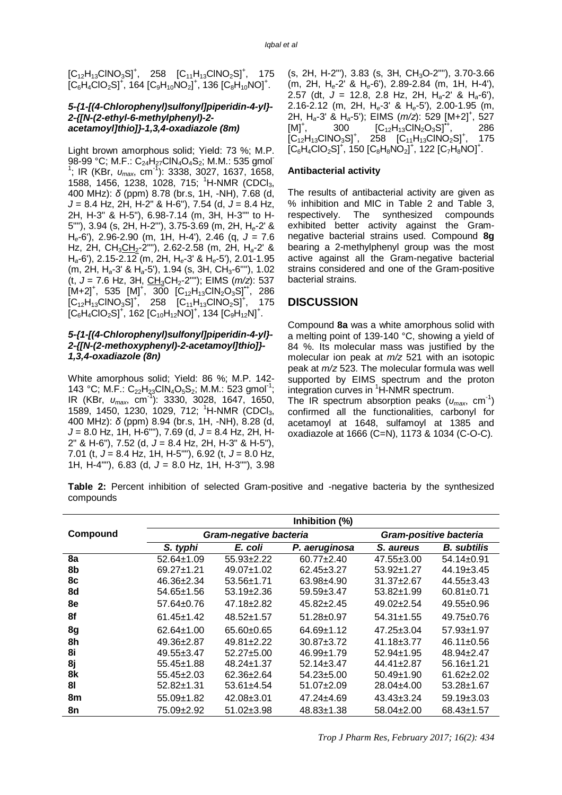$[C_{12}H_{13}CINO_3S]^+$ , 258  $[C_{11}H_{13}CINO_2S]^+$ , 175  $[C_6H_4ClO_2S]^+$ , 164  $[C_9H_{10}NO_2]^+$ , 136  $[C_8H_{10}NO]^+$ .

#### *5-{1-[(4-Chlorophenyl)sulfonyl]piperidin-4-yl}- 2-{[N-(2-ethyl-6-methylphenyl)-2 acetamoyl]thio]}-1,3,4-oxadiazole (8m)*

Light brown amorphous solid; Yield: 73 %; M.P. 98-99 °C; M.F.: C<sub>24</sub>H<sub>27</sub>ClN<sub>4</sub>O<sub>4</sub>S<sub>2</sub>; M.M.: 535 gmol-<sup>1</sup>; IR (KBr, *υ<sub>max</sub>*, cm<sup>-1</sup>): 3338, 3027, 1637, 1658, 1588, 1456, 1238, 1028, 715; <sup>1</sup>H-NMR (CDCl<sub>3</sub>, 400 MHz): *δ* (ppm) 8.78 (br.s, 1H, -NH), 7.68 (d, *J* = 8.4 Hz, 2H, H-2" & H-6"), 7.54 (d, *J* = 8.4 Hz, 2H, H-3" & H-5"), 6.98-7.14 (m, 3H, H-3"" to H-5""), 3.94 (s, 2H, H-2"'), 3.75-3.69 (m, 2H, H*e*-2' & H*e*-6'), 2.96-2.90 (m, 1H, H-4'), 2.46 (q, *J* = 7.6 Hz, 2H, CH3CH2-2""), 2.62-2.58 (m, 2H, H*a*-2' & H*a*-6'), 2.15-2.12 (m, 2H, H*e*-3' & H*e*-5'), 2.01-1.95 (m, 2H, H*a*-3' & H*a*-5'), 1.94 (s, 3H, CH3-6''''), 1.02 (t, *J* = 7.6 Hz, 3H, CH3CH2-2""); EIMS (*m/z*): 537  $[M+2]^+$ , 535  $[M]^+$ , 300  $[C_{12}H_{13}CIN_2O_3S]^+$ , 286  $[C_{12}H_{13}CINO_3S]^+$ , 258  $[C_{11}H_{13}CINO_2S]^+$ , 175  $\left[C_6H_4ClO_2S\right]^+$ , 162  $\left[C_{10}H_{12}NO\right]^+$ , 134  $\left[C_9H_{12}N\right]^+$ .

#### *5-{1-[(4-Chlorophenyl)sulfonyl]piperidin-4-yl}- 2-{[N-(2-methoxyphenyl)-2-acetamoyl]thio]}- 1,3,4-oxadiazole (8n)*

White amorphous solid; Yield: 86 %; M.P. 142- 143 °C; M.F.: C<sub>22</sub>H<sub>23</sub>CIN<sub>4</sub>O<sub>5</sub>S<sub>2</sub>; M.M.: 523 gmol<sup>-1</sup>; IR (KBr, *υmax*, cm-1 ): 3330, 3028, 1647, 1650, 1589, 1450, 1230, 1029, 712; <sup>1</sup>H-NMR (CDCl<sub>3</sub>, 400 MHz): *δ* (ppm) 8.94 (br.s, 1H, -NH), 8.28 (d, *J* = 8.0 Hz, 1H, H-6""), 7.69 (d, *J* = 8.4 Hz, 2H, H-2" & H-6"), 7.52 (d, *J* = 8.4 Hz, 2H, H-3" & H-5"), 7.01 (t, *J* = 8.4 Hz, 1H, H-5""), 6.92 (t, *J* = 8.0 Hz, 1H, H-4""), 6.83 (d, *J* = 8.0 Hz, 1H, H-3""), 3.98

(s, 2H, H-2"'), 3.83 (s, 3H, CH<sub>3</sub>O-2""), 3.70-3.66 (m, 2H, H*e*-2' & H*e*-6'), 2.89-2.84 (m, 1H, H-4'), 2.57 (dt, *J* = 12.8, 2.8 Hz, 2H, H*a*-2' & H*a*-6'), 2.16-2.12 (m, 2H, H*e*-3' & H*e*-5'), 2.00-1.95 (m, 2H, H*a*-3' & H*a*-5'); EIMS (*m/z*): 529 [M+2]<sup>+</sup> , 527  $[M]^+,$ 300  $[C_{12}H_{13}CIN_2O_3S]^{\bullet}$ , 286  $[C_{12}H_{13}CINO_3S]^+,$ 258  $[C_{11}H_{13}CINO_2S]^+$ , , 175  $[C_6H_4ClO_2S]^+$ , 150  $[C_8H_8NO_2]^+$ , 122  $[C_7H_8NO]^+$ .

#### **Antibacterial activity**

The results of antibacterial activity are given as % inhibition and MIC in Table 2 and Table 3, respectively. The synthesized compounds exhibited better activity against the Gramnegative bacterial strains used. Compound **8g** bearing a 2-methylphenyl group was the most active against all the Gram-negative bacterial strains considered and one of the Gram-positive bacterial strains.

#### **DISCUSSION**

Compound **8a** was a white amorphous solid with a melting point of 139-140 °C, showing a yield of 84 %. Its molecular mass was justified by the molecular ion peak at *m/z* 521 with an isotopic peak at *m/z* 523. The molecular formula was well supported by EIMS spectrum and the proton integration curves in <sup>1</sup>H-NMR spectrum.

The IR spectrum absorption peaks (*υmax*, cm-1 ) confirmed all the functionalities, carbonyl for acetamoyl at 1648, sulfamoyl at 1385 and oxadiazole at 1666 (C=N), 1173 & 1034 (C-O-C).

**Table 2:** Percent inhibition of selected Gram-positive and -negative bacteria by the synthesized compounds

|          | Inhibition (%)   |                        |                        |                  |                    |  |  |
|----------|------------------|------------------------|------------------------|------------------|--------------------|--|--|
| Compound |                  | Gram-negative bacteria | Gram-positive bacteria |                  |                    |  |  |
|          | S. typhi         | E. coli                | P. aeruginosa          | S. aureus        | <b>B.</b> subtilis |  |  |
| 8a       | $52.64 \pm 1.09$ | $55.93 \pm 2.22$       | $60.77 + 2.40$         | $47.55 \pm 3.00$ | $54.14 \pm 0.91$   |  |  |
| 8b       | $69.27 \pm 1.21$ | $49.07 \pm 1.02$       | $62.45 \pm 3.27$       | $53.92 \pm 1.27$ | $44.19 \pm 3.45$   |  |  |
| 8с       | $46.36 \pm 2.34$ | 53.56±1.71             | 63.98±4.90             | $31.37 + 2.67$   | $44.55 \pm 3.43$   |  |  |
| 8d       | $54.65 \pm 1.56$ | $53.19 \pm 2.36$       | $59.59 \pm 3.47$       | $53.82 \pm 1.99$ | $60.81 \pm 0.71$   |  |  |
| 8e       | $57.64 \pm 0.76$ | $47.18 \pm 2.82$       | $45.82 \pm 2.45$       | $49.02 \pm 2.54$ | $49.55 \pm 0.96$   |  |  |
| 8f       | $61.45 \pm 1.42$ | $48.52 \pm 1.57$       | $51.28 \pm 0.97$       | $54.31 \pm 1.55$ | 49.75±0.76         |  |  |
| 8g       | $62.64 \pm 1.00$ | $65.60 \pm 0.65$       | 64.69±1.12             | $47.25 \pm 3.04$ | 57.93±1.97         |  |  |
| 8h       | $49.36 \pm 2.87$ | $49.81 \pm 2.22$       | $30.87 \pm 3.72$       | $41.18 \pm 3.77$ | $46.11 \pm 0.56$   |  |  |
| 8i       | 49.55±3.47       | $52.27 \pm 5.00$       | $46.99 \pm 1.79$       | $52.94 \pm 1.95$ | 48.94±2.47         |  |  |
| 8j       | $55.45 \pm 1.88$ | $48.24 \pm 1.37$       | $52.14 \pm 3.47$       | 44.41±2.87       | 56.16±1.21         |  |  |
| 8k       | $55.45 \pm 2.03$ | $62.36 \pm 2.64$       | $54.23 \pm 5.00$       | $50.49 \pm 1.90$ | $61.62 \pm 2.02$   |  |  |
| 81       | $52.82 \pm 1.31$ | $53.61 \pm 4.54$       | $51.07 \pm 2.09$       | $28.04\pm4.00$   | $53.28 \pm 1.67$   |  |  |
| 8m       | $55.09 \pm 1.82$ | 42.08±3.01             | 47.24±4.69             | $43.43 \pm 3.24$ | $59.19 \pm 3.03$   |  |  |
| 8n       | 75.09±2.92       | $51.02 \pm 3.98$       | $48.83 \pm 1.38$       | $58.04 \pm 2.00$ | 68.43±1.57         |  |  |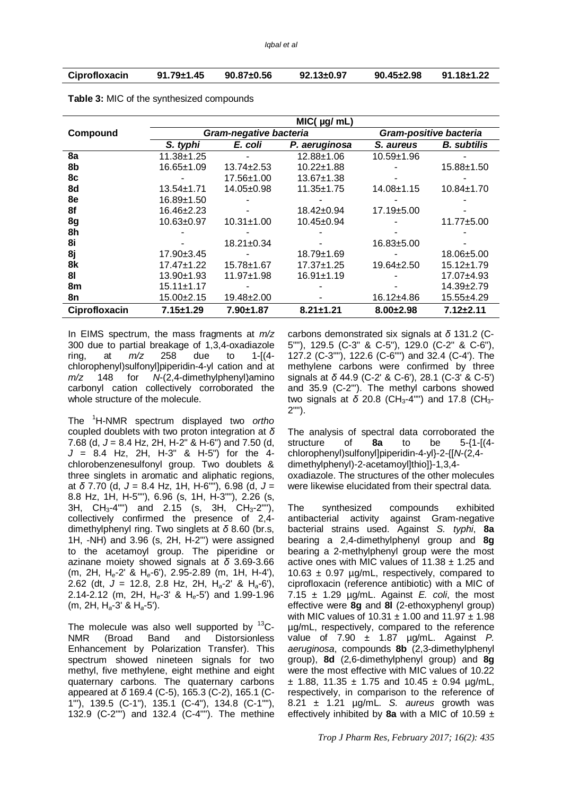| Ciprofloxacin | $91.79 \pm 1.45$ | $90.87 \pm 0.56$ | $92.13 \pm 0.97$ | $90.45 \pm 2.98$ | $91.18 \pm 1.22$ |
|---------------|------------------|------------------|------------------|------------------|------------------|
|               |                  |                  |                  |                  |                  |

|               | $MIC($ µg/ mL)   |                               |                        |                  |                    |  |  |
|---------------|------------------|-------------------------------|------------------------|------------------|--------------------|--|--|
| Compound      |                  | <b>Gram-negative bacteria</b> | Gram-positive bacteria |                  |                    |  |  |
|               | S. typhi         | E. coli                       | P. aeruginosa          | S. aureus        | <b>B.</b> subtilis |  |  |
| 8a            | $11.38 + 1.25$   |                               | $12.88 \pm 1.06$       | $10.59 + 1.96$   |                    |  |  |
| 8b            | 16.65±1.09       | $13.74 \pm 2.53$              | $10.22 \pm 1.88$       |                  | 15.88±1.50         |  |  |
| 8c            |                  | $17.56 \pm 1.00$              | $13.67 \pm 1.38$       |                  |                    |  |  |
| 8d            | $13.54 \pm 1.71$ | 14.05±0.98                    | $11.35 \pm 1.75$       | $14.08 \pm 1.15$ | $10.84 \pm 1.70$   |  |  |
| 8e            | 16.89±1.50       |                               |                        |                  |                    |  |  |
| 8f            | 16.46±2.23       |                               | $18.42 \pm 0.94$       | $17.19 \pm 5.00$ |                    |  |  |
| 8g            | $10.63 \pm 0.97$ | $10.31 \pm 1.00$              | 10.45±0.94             |                  | 11.77±5.00         |  |  |
| 8h            |                  |                               |                        |                  |                    |  |  |
| 8i            |                  | $18.21 \pm 0.34$              |                        | $16.83 \pm 5.00$ |                    |  |  |
| 8j            | $17.90 \pm 3.45$ |                               | $18.79 \pm 1.69$       |                  | 18.06±5.00         |  |  |
| 8k            | $17.47 \pm 1.22$ | 15.78±1.67                    | $17.37 \pm 1.25$       | $19.64 \pm 2.50$ | $15.12 \pm 1.79$   |  |  |
| 81            | $13.90 \pm 1.93$ | $11.97 + 1.98$                | $16.91 \pm 1.19$       |                  | 17.07±4.93         |  |  |
| 8m            | $15.11 \pm 1.17$ |                               |                        |                  | 14.39±2.79         |  |  |
| 8n            | 15.00±2.15       | $19.48 \pm 2.00$              |                        | 16.12±4.86       | 15.55±4.29         |  |  |
| Ciprofloxacin | $7.15 + 1.29$    | $7.90 + 1.87$                 | $8.21 \pm 1.21$        | $8.00 \pm 2.98$  | $7.12 \pm 2.11$    |  |  |

**Table 3:** MIC of the synthesized compounds

In EIMS spectrum, the mass fragments at *m/z* 300 due to partial breakage of 1,3,4-oxadiazole<br>ring, at  $m/z$  258 due to 1-[(4ring, at *m/z* 258 due to 1-[(4 chlorophenyl)sulfonyl]piperidin-4-yl cation and at *m/z* 148 for *N*-(2,4-dimethylphenyl)amino carbonyl cation collectively corroborated the whole structure of the molecule.

The <sup>1</sup>H-NMR spectrum displayed two *ortho* coupled doublets with two proton integration at *δ* 7.68 (d, *J* = 8.4 Hz, 2H, H-2" & H-6") and 7.50 (d, *J* = 8.4 Hz, 2H, H-3" & H-5") for the 4 chlorobenzenesulfonyl group. Two doublets & three singlets in aromatic and aliphatic regions, at *δ* 7.70 (d, *J* = 8.4 Hz, 1H, H-6""), 6.98 (d, *J* = 8.8 Hz, 1H, H-5""), 6.96 (s, 1H, H-3""), 2.26 (s, 3H, CH<sub>3</sub>-4"") and 2.15 (s, 3H, CH<sub>3</sub>-2""), collectively confirmed the presence of 2,4 dimethylphenyl ring. Two singlets at *δ* 8.60 (br.s, 1H, -NH) and 3.96 (s, 2H, H-2"') were assigned to the acetamoyl group. The piperidine or azinane moiety showed signals at *δ* 3.69-3.66 (m, 2H, H*e*-2' & H*e*-6'), 2.95-2.89 (m, 1H, H-4'), 2.62 (dt, *J* = 12.8, 2.8 Hz, 2H, H*a*-2' & H*a*-6'), 2.14-2.12 (m, 2H, H*e*-3' & H*e*-5') and 1.99-1.96 (m, 2H, H*a*-3' & H*a*-5').

The molecule was also well supported by  ${}^{13}C-$ NMR (Broad Band and Distorsionless Enhancement by Polarization Transfer). This spectrum showed nineteen signals for two methyl, five methylene, eight methine and eight quaternary carbons. The quaternary carbons appeared at *δ* 169.4 (C-5), 165.3 (C-2), 165.1 (C-1"'), 139.5 (C-1"), 135.1 (C-4"), 134.8 (C-1""), 132.9 (C-2"") and 132.4 (C-4""). The methine carbons demonstrated six signals at *δ* 131.2 (C-5""), 129.5 (C-3" & C-5"), 129.0 (C-2" & C-6"), 127.2 (C-3""), 122.6 (C-6"") and 32.4 (C-4'). The methylene carbons were confirmed by three signals at *δ* 44.9 (C-2' & C-6'), 28.1 (C-3' & C-5') and 35.9 (C-2"'). The methyl carbons showed two signals at δ 20.8 (CH<sub>3</sub>-4"") and 17.8 (CH<sub>3</sub>-2"").

The analysis of spectral data corroborated the structure of **8a** to be 5-{1-[(4 chlorophenyl)sulfonyl]piperidin-4-yl}-2-{[*N*-(2,4 dimethylphenyl)-2-acetamoyl]thio]}-1,3,4 oxadiazole. The structures of the other molecules were likewise elucidated from their spectral data.

The synthesized compounds exhibited antibacterial activity against Gram-negative bacterial strains used. Against *S. typhi*, **8a** bearing a 2,4-dimethylphenyl group and **8g** bearing a 2-methylphenyl group were the most active ones with MIC values of  $11.38 \pm 1.25$  and 10.63  $\pm$  0.97 µg/mL, respectively, compared to ciprofloxacin (reference antibiotic) with a MIC of 7.15  $\pm$  1.29  $\mu$ g/mL. Against *E. coli*, the most effective were **8g** and **8l** (2-ethoxyphenyl group) with MIC values of  $10.31 \pm 1.00$  and  $11.97 \pm 1.98$ µg/mL, respectively, compared to the reference value of 7.90 ± 1.87 µg/mL. Against *P. aeruginosa*, compounds **8b** (2,3-dimethylphenyl group), **8d** (2,6-dimethylphenyl group) and **8g** were the most effective with MIC values of 10.22  $\pm$  1.88, 11.35  $\pm$  1.75 and 10.45  $\pm$  0.94 µg/mL, respectively, in comparison to the reference of 8.21 ± 1.21 µg/mL. *S. aureus* growth was effectively inhibited by **8a** with a MIC of 10.59  $\pm$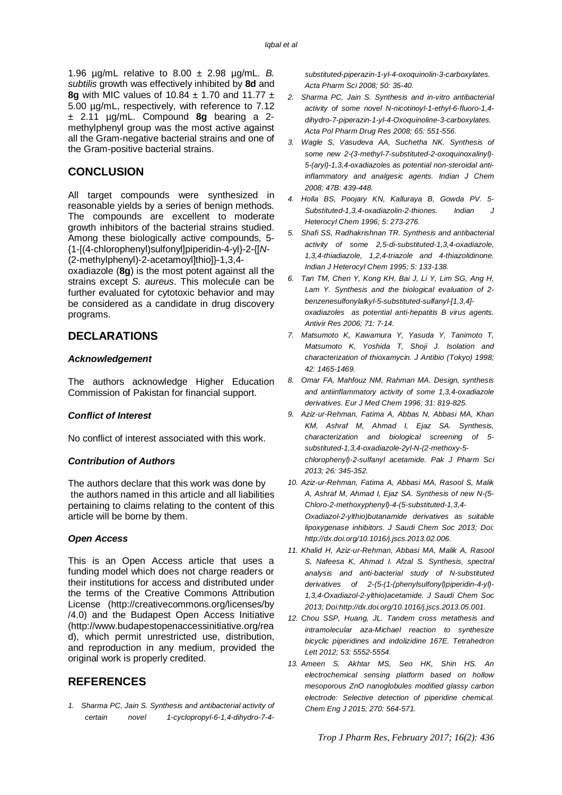1.96 µg/mL relative to 8.00 ± 2.98 µg/mL. *B. subtilis* growth was effectively inhibited by **8d** and **8g** with MIC values of 10.84 ± 1.70 and 11.77 ± 5.00 µg/mL, respectively, with reference to 7.12 ± 2.11 µg/mL. Compound **8g** bearing a 2 methylphenyl group was the most active against all the Gram-negative bacterial strains and one of the Gram-positive bacterial strains.

#### **CONCLUSION**

All target compounds were synthesized in reasonable yields by a series of benign methods. The compounds are excellent to moderate growth inhibitors of the bacterial strains studied. Among these biologically active compounds, 5- {1-[(4-chlorophenyl)sulfonyl]piperidin-4-yl}-2-{[*N*- (2-methylphenyl)-2-acetamoyl]thio]}-1,3,4-

oxadiazole (**8g**) is the most potent against all the strains except *S. aureus*. This molecule can be further evaluated for cytotoxic behavior and may be considered as a candidate in drug discovery programs.

### **DECLARATIONS**

#### *Acknowledgement*

The authors acknowledge Higher Education Commission of Pakistan for financial support.

#### *Conflict of Interest*

No conflict of interest associated with this work.

#### *Contribution of Authors*

The authors declare that this work was done by the authors named in this article and all liabilities pertaining to claims relating to the content of this article will be borne by them.

#### *Open Access*

This is an Open Access article that uses a funding model which does not charge readers or their institutions for access and distributed under the terms of the Creative Commons Attribution License (<http://creativecommons.org/licenses/by> /4.0) and the Budapest Open Access Initiative [\(http://www.budapestopenaccessinitiative.org/rea](http://www.budapestopenaccessinitiative.org/rea) d), which permit unrestricted use, distribution, and reproduction in any medium, provided the original work is properly credited.

# **REFERENCES**

*1. Sharma PC, Jain S. Synthesis and antibacterial activity of certain novel 1-cyclopropyl-6-1,4-dihydro-7-4-* *substituted-piperazin-1-yl-4-oxoquinolin-3-carboxylates. Acta Pharm Sci 2008; 50: 35-40.*

- *2. Sharma PC, Jain S. Synthesis and in-vitro antibacterial activity of some novel N-nicotinoyl-1-ethyl-6-fluoro-1,4 dihydro-7-piperazin-1-yl-4-Oxoquinoline-3-carboxylates. Acta Pol Pharm Drug Res 2008; 65: 551-556.*
- *3. Wagle S, Vasudeva AA, Suchetha NK. Synthesis of some new 2-(3-methyl-7-substituted-2-oxoquinoxalinyl)- 5-(aryl)-1,3,4-oxadiazoles as potential non-steroidal antiinflammatory and analgesic agents. Indian J Chem 2008; 47B: 439-448.*
- *4. Holla BS, Poojary KN, Kalluraya B, Gowda PV. 5- Substituted-1,3,4-oxadiazolin-2-thiones. Indian J Heterocyl Chem 1996; 5: 273-276.*
- *5. Shafi SS, Radhakrishnan TR. Synthesis and antibacterial activity of some 2,5-di-substituted-1,3,4-oxadiazole, 1,3,4-thiadiazole, 1,2,4-triazole and 4-thiazolidinone. Indian J Heterocyl Chem 1995; 5: 133-138.*
- *6. Tan TM, Chen Y, Kong KH, Bai J, Li Y, Lim SG, Ang H, Lam Y. Synthesis and the biological evaluation of 2 benzenesulfonylalkyl-5-substituted-sulfanyl-[1,3,4] oxadiazoles as potential anti-hepatitis B virus agents. Antivir Res 2006; 71: 7-14.*
- *7. Matsumoto K, Kawamura Y, Yasuda Y, Tanimoto T, Matsumoto K, Yoshida T, Shoji J. Isolation and characterization of thioxamycin. J Antibio (Tokyo) 1998; 42: 1465-1469.*
- *8. Omar FA, Mahfouz NM, Rahman MA. Design, synthesis and antiinflammatory activity of some 1,3,4-oxadiazole derivatives. Eur J Med Chem 1996; 31: 819-825.*
- *9. Aziz-ur-Rehman, Fatima A, Abbas N, Abbasi MA, Khan KM, Ashraf M, Ahmad I, Ejaz SA. Synthesis, characterization and biological screening of 5 substituted-1,3,4-oxadiazole-2yl-N-(2-methoxy-5 chlorophenyl)-2-sulfanyl acetamide. Pak J Pharm Sci 2013; 26: 345-352.*
- *10. Aziz-ur-Rehman, Fatima A, Abbasi MA, Rasool S, Malik A, Ashraf M, Ahmad I, Ejaz SA. Synthesis of new N-(5- Chloro-2-methoxyphenyl)-4-(5-substituted-1,3,4- Oxadiazol-2-ylthio)butanamide derivatives as suitable lipoxygenase inhibitors. J Saudi Chem Soc 2013; Doi: <http://dx.doi.org/10.1016/j.jscs.2013.02.006.>*
- *11. Khalid H, Aziz-ur-Rehman, Abbasi MA, Malik A, Rasool S, Nafeesa K, Ahmad I. Afzal S. Synthesis, spectral analysis and anti-bacterial study of N-substituted derivatives of 2-(5-(1-(phenylsulfonyl)piperidin-4-yl)- 1,3,4-Oxadiazol-2-ylthio)acetamide. J Saudi Chem Soc 2013; Doi[:http://dx.doi.org/10.1016/j.jscs.2013.05.001.](http://dx.doi.org/10.1016/j.jscs.2013.05.001.)*
- *12. Chou SSP, Huang, JL. Tandem cross metathesis and intramolecular aza-Michael reaction to synthesize bicyclic piperidines and indolizidine 167E. Tetrahedron Lett 2012; 53: 5552-5554.*
- *13. Ameen S, Akhtar MS, Seo HK, Shin HS. An electrochemical sensing platform based on hollow mesoporous ZnO nanoglobules modified glassy carbon electrode: Selective detection of piperidine chemical. Chem Eng J 2015; 270: 564-571.*